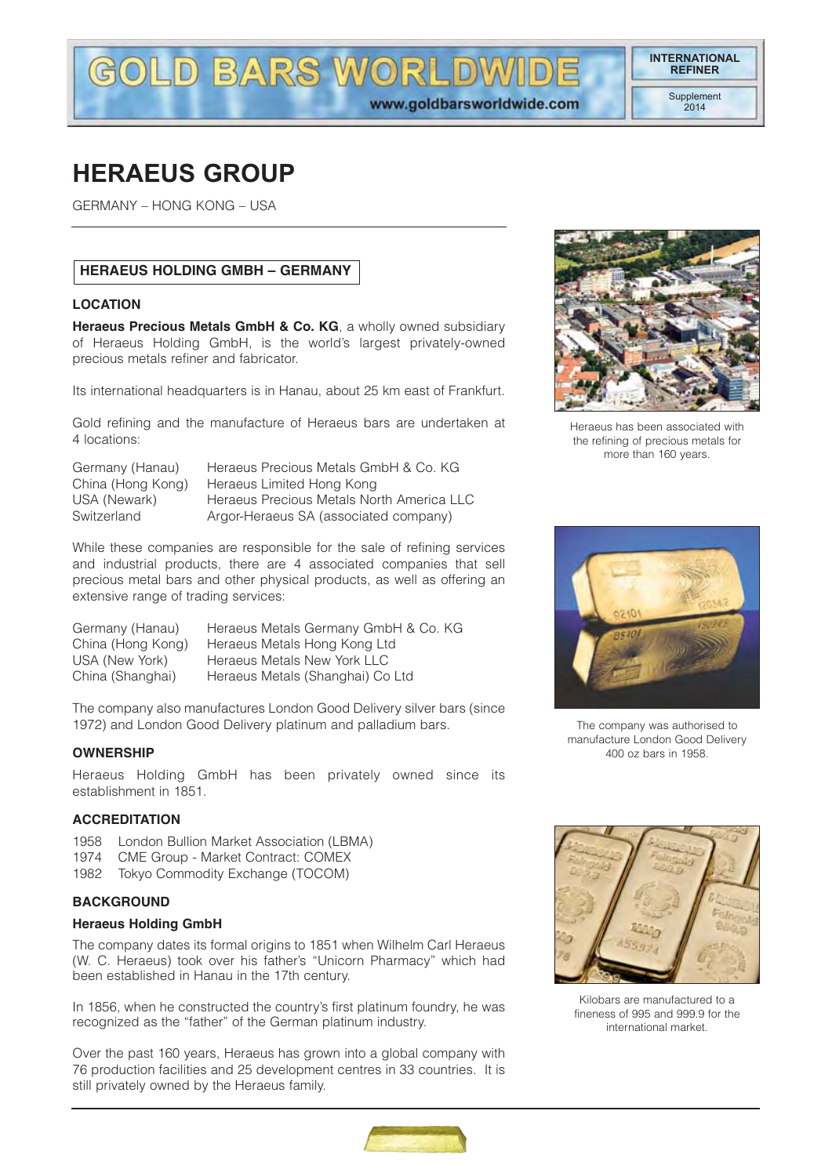**INTERNATIONAL**

## **HERAEUS GROUP**

GERMANY – HONG KONG – USA

## **HERAEUS HOLDING GMBH – GERMANY**

#### **LOCATION**

**Heraeus Precious Metals GmbH & Co. KG**, a wholly owned subsidiary of Heraeus Holding GmbH, is the world's largest privately-owned precious metals refiner and fabricator.

**LD BARS WORL** 

Its international headquarters is in Hanau, about 25 km east of Frankfurt.

Gold refining and the manufacture of Heraeus bars are undertaken at 4 locations:

| Germany (Hanau)   | Heraeus Precious Metals GmbH & Co. KG     |
|-------------------|-------------------------------------------|
| China (Hong Kong) | Heraeus Limited Hong Kong                 |
| USA (Newark)      | Heraeus Precious Metals North America LLC |
| Switzerland       | Argor-Heraeus SA (associated company)     |
|                   |                                           |

While these companies are responsible for the sale of refining services and industrial products, there are 4 associated companies that sell precious metal bars and other physical products, as well as offering an extensive range of trading services:

| Germany (Hanau)   | Heraeus Metals Germany GmbH & Co. KG |
|-------------------|--------------------------------------|
| China (Hong Kong) | Heraeus Metals Hong Kong Ltd         |
| USA (New York)    | Heraeus Metals New York LLC          |
| China (Shanghai)  | Heraeus Metals (Shanghai) Co Ltd     |

The company also manufactures London Good Delivery silver bars (since 1972) and London Good Delivery platinum and palladium bars.

#### **OWNERSHIP**

Heraeus Holding GmbH has been privately owned since its establishment in 1851.

#### **ACCREDITATION**

- 1958 London Bullion Market Association (LBMA)
- 1974 CME Group Market Contract: COMEX
- 1982 Tokyo Commodity Exchange (TOCOM)

#### **BACKGROUND**

#### **Heraeus Holding GmbH**

The company dates its formal origins to 1851 when Wilhelm Carl Heraeus (W. C. Heraeus) took over his father's "Unicorn Pharmacy" which had been established in Hanau in the 17th century.

In 1856, when he constructed the country's first platinum foundry, he was recognized as the "father" of the German platinum industry.

Over the past 160 years, Heraeus has grown into a global company with 76 production facilities and 25 development centres in 33 countries. It is still privately owned by the Heraeus family.



Heraeus has been associated with the refining of precious metals for more than 160 years.



The company was authorised to manufacture London Good Delivery 400 oz bars in 1958.



Kilobars are manufactured to a fineness of 995 and 999.9 for the international market.

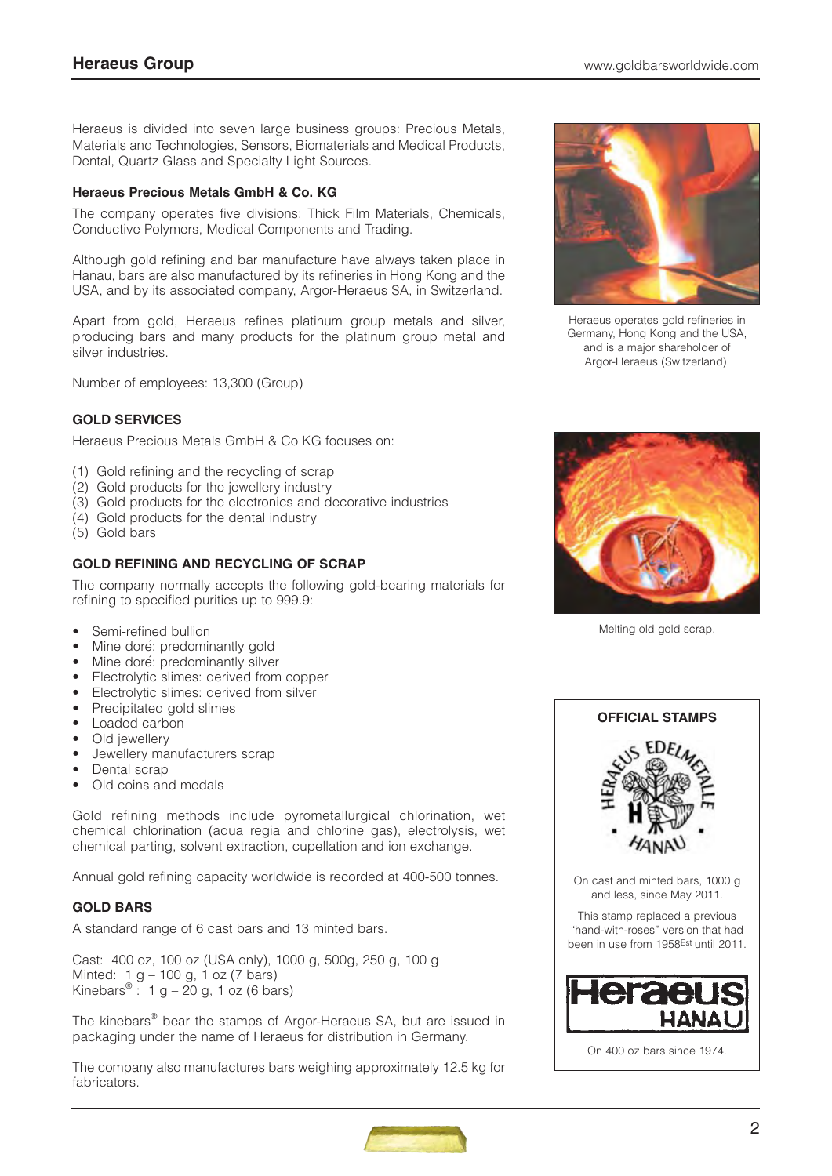Heraeus is divided into seven large business groups: Precious Metals, Materials and Technologies, Sensors, Biomaterials and Medical Products, Dental, Quartz Glass and Specialty Light Sources.

## **Heraeus Precious Metals GmbH & Co. KG**

The company operates five divisions: Thick Film Materials, Chemicals, Conductive Polymers, Medical Components and Trading.

Although gold refining and bar manufacture have always taken place in Hanau, bars are also manufactured by its refineries in Hong Kong and the USA, and by its associated company, Argor-Heraeus SA, in Switzerland.

Apart from gold, Heraeus refines platinum group metals and silver, producing bars and many products for the platinum group metal and silver industries.

Number of employees: 13,300 (Group)

## **GOLD SERVICES**

Heraeus Precious Metals GmbH & Co KG focuses on:

- (1) Gold refining and the recycling of scrap
- (2) Gold products for the jewellery industry
- (3) Gold products for the electronics and decorative industries
- (4) Gold products for the dental industry
- (5) Gold bars

## **GOLD REFINING AND RECYCLING OF SCRAP**

The company normally accepts the following gold-bearing materials for refining to specified purities up to 999.9:

- Semi-refined bullion
- Mine dore: predominantly gold
- Mine dore: predominantly silver
- Electrolytic slimes: derived from copper
- Electrolytic slimes: derived from silver
- Precipitated gold slimes
- Loaded carbon
- Old jewellery
- Jewellery manufacturers scrap
- Dental scrap
- Old coins and medals

Gold refining methods include pyrometallurgical chlorination, wet chemical chlorination (aqua regia and chlorine gas), electrolysis, wet chemical parting, solvent extraction, cupellation and ion exchange.

Annual gold refining capacity worldwide is recorded at 400-500 tonnes.

#### **GOLD BARS**

A standard range of 6 cast bars and 13 minted bars.

Cast: 400 oz, 100 oz (USA only), 1000 g, 500g, 250 g, 100 g Minted: 1 g – 100 g, 1 oz (7 bars) Kinebars<sup>®</sup>: 1 g – 20 g, 1 oz (6 bars)

The kinebars® bear the stamps of Argor-Heraeus SA, but are issued in packaging under the name of Heraeus for distribution in Germany.

The company also manufactures bars weighing approximately 12.5 kg for fabricators.



Heraeus operates gold refineries in Germany, Hong Kong and the USA, and is a major shareholder of Argor-Heraeus (Switzerland).



Melting old gold scrap.



On 400 oz bars since 1974.

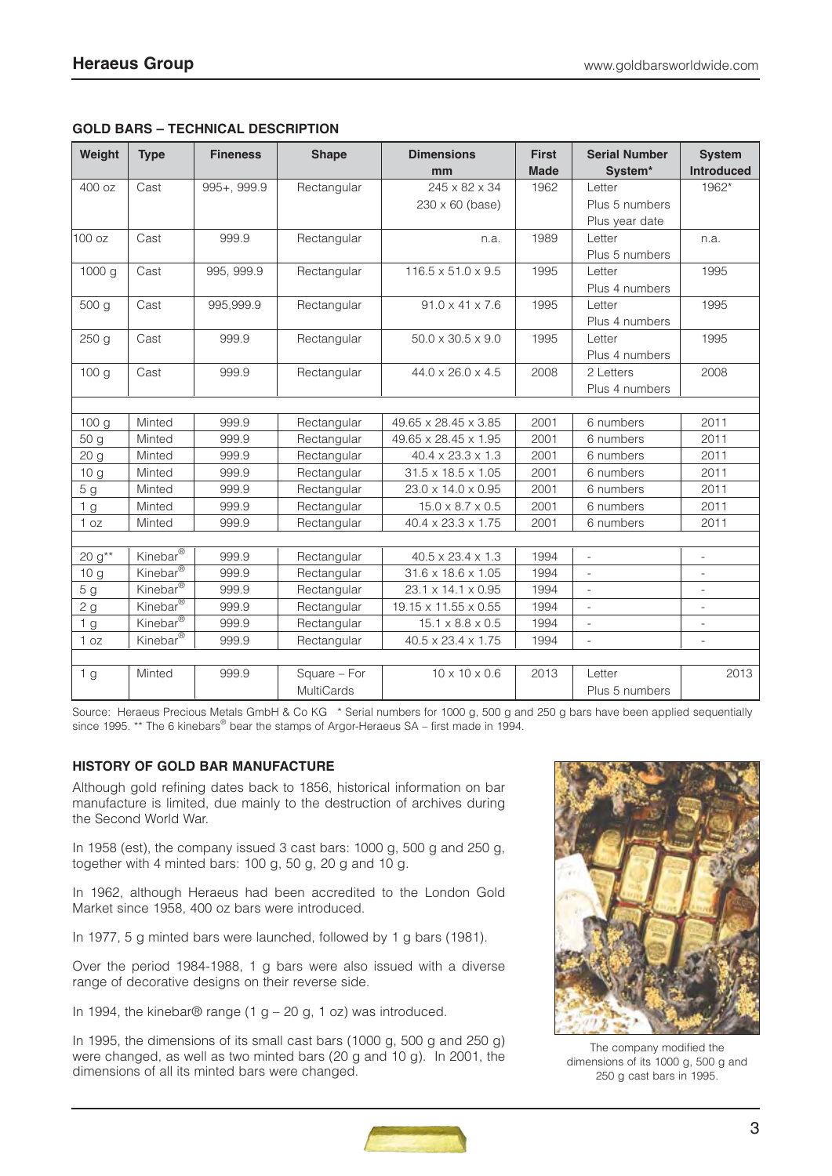| Weight          | <b>Type</b>                      | <b>Fineness</b> | <b>Shape</b>      | <b>Dimensions</b><br>mm        | <b>First</b><br><b>Made</b> | <b>Serial Number</b><br>System* | <b>System</b><br><b>Introduced</b> |
|-----------------|----------------------------------|-----------------|-------------------|--------------------------------|-----------------------------|---------------------------------|------------------------------------|
| 400 oz          | Cast                             | $995 + 999.9$   | Rectangular       | 245 x 82 x 34                  | 1962                        | Letter                          | 1962*                              |
|                 |                                  |                 |                   | $230 \times 60$ (base)         |                             | Plus 5 numbers                  |                                    |
|                 |                                  |                 |                   |                                |                             | Plus year date                  |                                    |
| 100 oz          | Cast                             | 999.9           | Rectangular       | n.a.                           | 1989                        | Letter                          | n.a.                               |
|                 |                                  |                 |                   |                                |                             | Plus 5 numbers                  |                                    |
| 1000 g          | Cast                             | 995, 999.9      | Rectangular       | $116.5 \times 51.0 \times 9.5$ | 1995                        | Letter                          | 1995                               |
|                 |                                  |                 |                   |                                |                             | Plus 4 numbers                  |                                    |
| 500 g           | Cast                             | 995,999.9       | Rectangular       | $91.0 \times 41 \times 7.6$    | 1995                        | Letter                          | 1995                               |
|                 |                                  |                 |                   |                                |                             | Plus 4 numbers                  |                                    |
| 250 g           | Cast                             | 999.9           | Rectangular       | $50.0 \times 30.5 \times 9.0$  | 1995                        | Letter                          | 1995                               |
|                 |                                  |                 |                   |                                |                             | Plus 4 numbers                  |                                    |
| 100 g           | Cast                             | 999.9           | Rectangular       | 44.0 x 26.0 x 4.5              | 2008                        | 2 Letters                       | 2008                               |
|                 |                                  |                 |                   |                                |                             | Plus 4 numbers                  |                                    |
|                 |                                  |                 |                   |                                |                             |                                 |                                    |
| 100 g           | Minted                           | 999.9           | Rectangular       | 49.65 x 28.45 x 3.85           | 2001                        | 6 numbers                       | 2011                               |
| 50 g            | Minted                           | 999.9           | Rectangular       | 49.65 x 28.45 x 1.95           | 2001                        | 6 numbers                       | 2011                               |
| 20 <sub>g</sub> | Minted                           | 999.9           | Rectangular       | 40.4 x 23.3 x 1.3              | 2001                        | 6 numbers                       | 2011                               |
| 10 <sub>g</sub> | Minted                           | 999.9           | Rectangular       | 31.5 x 18.5 x 1.05             | 2001                        | 6 numbers                       | 2011                               |
| 5 <sub>g</sub>  | Minted                           | 999.9           | Rectangular       | 23.0 x 14.0 x 0.95             | 2001                        | 6 numbers                       | 2011                               |
| 1 <sub>g</sub>  | Minted                           | 999.9           | Rectangular       | $15.0 \times 8.7 \times 0.5$   | 2001                        | 6 numbers                       | 2011                               |
| 1 oz            | Minted                           | 999.9           | Rectangular       | 40.4 x 23.3 x 1.75             | 2001                        | 6 numbers                       | 2011                               |
|                 |                                  |                 |                   |                                |                             |                                 |                                    |
| 20 $g^{**}$     | Kinebar <sup>®</sup>             | 999.9           | Rectangular       | $40.5 \times 23.4 \times 1.3$  | 1994                        |                                 |                                    |
| 10 g            | Kinebar <sup>®</sup>             | 999.9           | Rectangular       | 31.6 x 18.6 x 1.05             | 1994                        | $\overline{\phantom{a}}$        | ÷,                                 |
| 5 <sub>g</sub>  | Kinebar <sup>®</sup>             | 999.9           | Rectangular       | 23.1 x 14.1 x 0.95             | 1994                        | $\blacksquare$                  | $\overline{\phantom{0}}$           |
| 2g              | Kinebar <sup>®</sup>             | 999.9           | Rectangular       | 19.15 x 11.55 x 0.55           | 1994                        | $\overline{\phantom{a}}$        | $\overline{\phantom{a}}$           |
| 1 <sub>g</sub>  | Kinebar <sup>®</sup>             | 999.9           | Rectangular       | $15.1 \times 8.8 \times 0.5$   | 1994                        | $\frac{1}{2}$                   | $\frac{1}{2}$                      |
| 1 oz            | Kinebar $\overline{\mathcal{C}}$ | 999.9           | Rectangular       | 40.5 x 23.4 x 1.75             | 1994                        |                                 |                                    |
|                 |                                  |                 |                   |                                |                             |                                 |                                    |
| 1 <sub>g</sub>  | Minted                           | 999.9           | Square - For      | $10 \times 10 \times 0.6$      | 2013                        | Letter                          | 2013                               |
|                 |                                  |                 | <b>MultiCards</b> |                                |                             | Plus 5 numbers                  |                                    |

## **GOLD BARS – TECHNICAL DESCRIPTION**

Source: Heraeus Precious Metals GmbH & Co KG \* Serial numbers for 1000 g, 500 g and 250 g bars have been applied sequentially since 1995. \*\* The 6 kinebars<sup>®</sup> bear the stamps of Argor-Heraeus SA – first made in 1994.

## **HISTORY OF GOLD BAR MANUFACTURE**

Although gold refining dates back to 1856, historical information on bar manufacture is limited, due mainly to the destruction of archives during the Second World War.

In 1958 (est), the company issued 3 cast bars: 1000 g, 500 g and 250 g, together with 4 minted bars: 100 g, 50 g, 20 g and 10 g.

In 1962, although Heraeus had been accredited to the London Gold Market since 1958, 400 oz bars were introduced.

In 1977, 5 g minted bars were launched, followed by 1 g bars (1981).

Over the period 1984-1988, 1 g bars were also issued with a diverse range of decorative designs on their reverse side.

In 1994, the kinebar® range (1 g – 20 g, 1 oz) was introduced.

In 1995, the dimensions of its small cast bars (1000 g, 500 g and 250 g) were changed, as well as two minted bars (20 g and 10 g). In 2001, the dimensions of all its minted bars were changed.



The company modified the dimensions of its 1000 g, 500 g and 250 g cast bars in 1995.

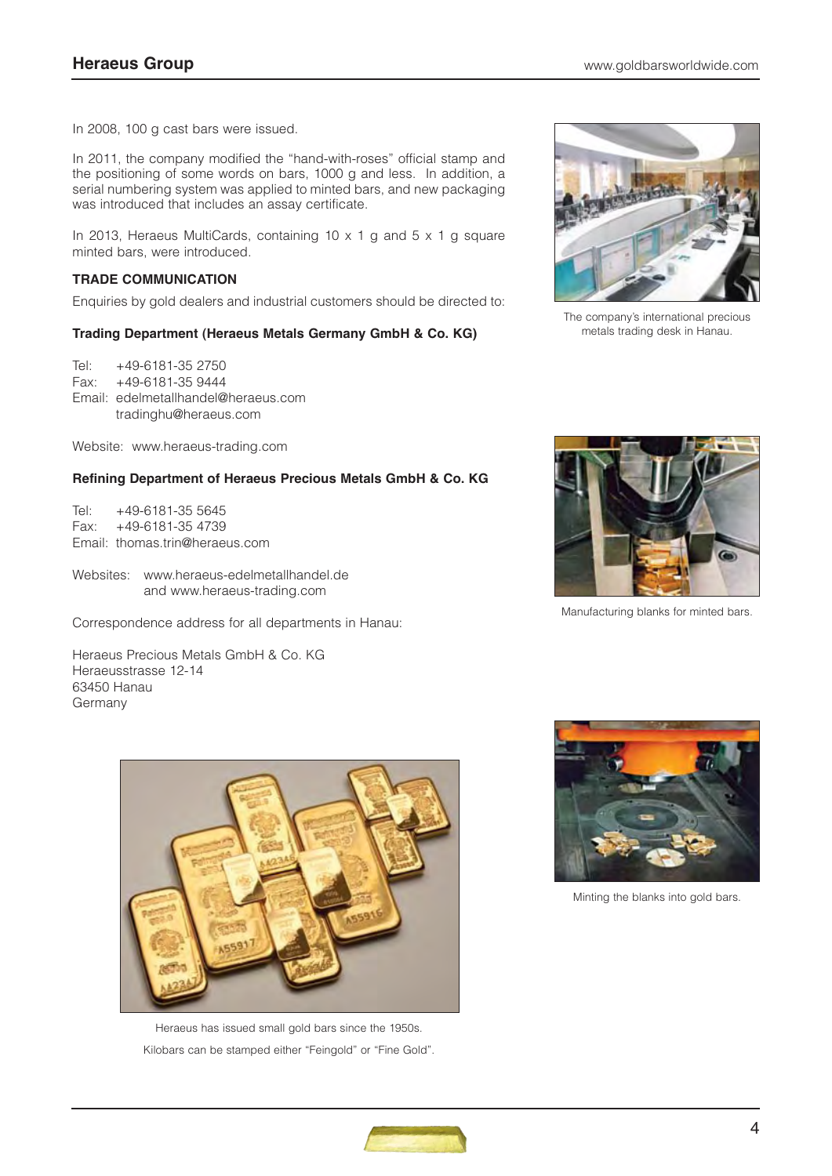In 2008, 100 g cast bars were issued.

In 2011, the company modified the "hand-with-roses" official stamp and the positioning of some words on bars, 1000 g and less. In addition, a serial numbering system was applied to minted bars, and new packaging was introduced that includes an assay certificate.

In 2013, Heraeus MultiCards, containing 10 x 1 g and 5 x 1 g square minted bars, were introduced.

#### **TRADE COMMUNICATION**

Enquiries by gold dealers and industrial customers should be directed to:

## **Trading Department (Heraeus Metals Germany GmbH & Co. KG)**

Tel: +49-6181-35 2750 Fax: +49-6181-35 9444 Email: edelmetallhandel@heraeus.com tradinghu@heraeus.com

Website: www.heraeus-trading.com

## **Refining Department of Heraeus Precious Metals GmbH & Co. KG**

Tel: +49-6181-35 5645 Fax: +49-6181-35 4739 Email: thomas.trin@heraeus.com

Websites: www.heraeus-edelmetallhandel.de and www.heraeus-trading.com

Correspondence address for all departments in Hanau:

Heraeus Precious Metals GmbH & Co. KG Heraeusstrasse 12-14 63450 Hanau **Germany** 



Heraeus has issued small gold bars since the 1950s. Kilobars can be stamped either "Feingold" or "Fine Gold".



The company's international precious metals trading desk in Hanau.



Manufacturing blanks for minted bars.



Minting the blanks into gold bars.

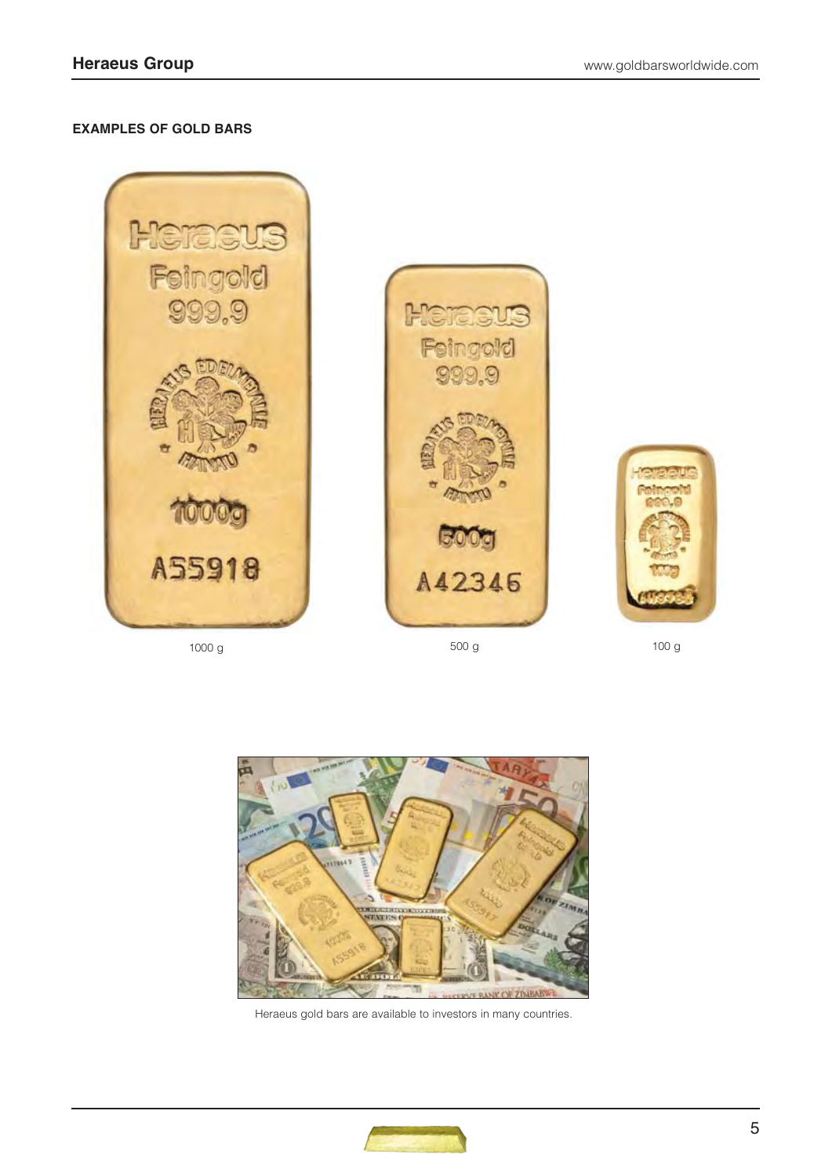## **EXAMPLES OF GOLD BARS**











Heraeus gold bars are available to investors in many countries.

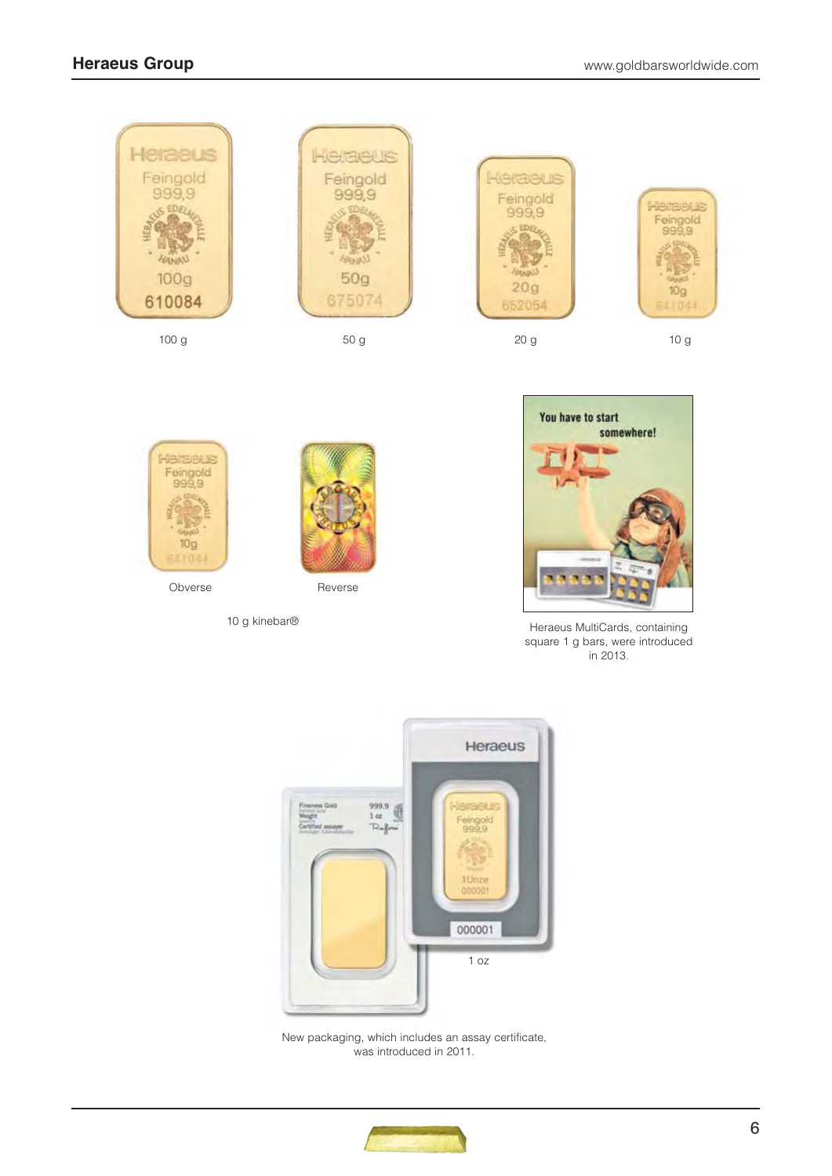





10 g kinebar®



Heraeus MultiCards, containing square 1 g bars, were introduced in 2013.



New packaging, which includes an assay certificate, was introduced in 2011.

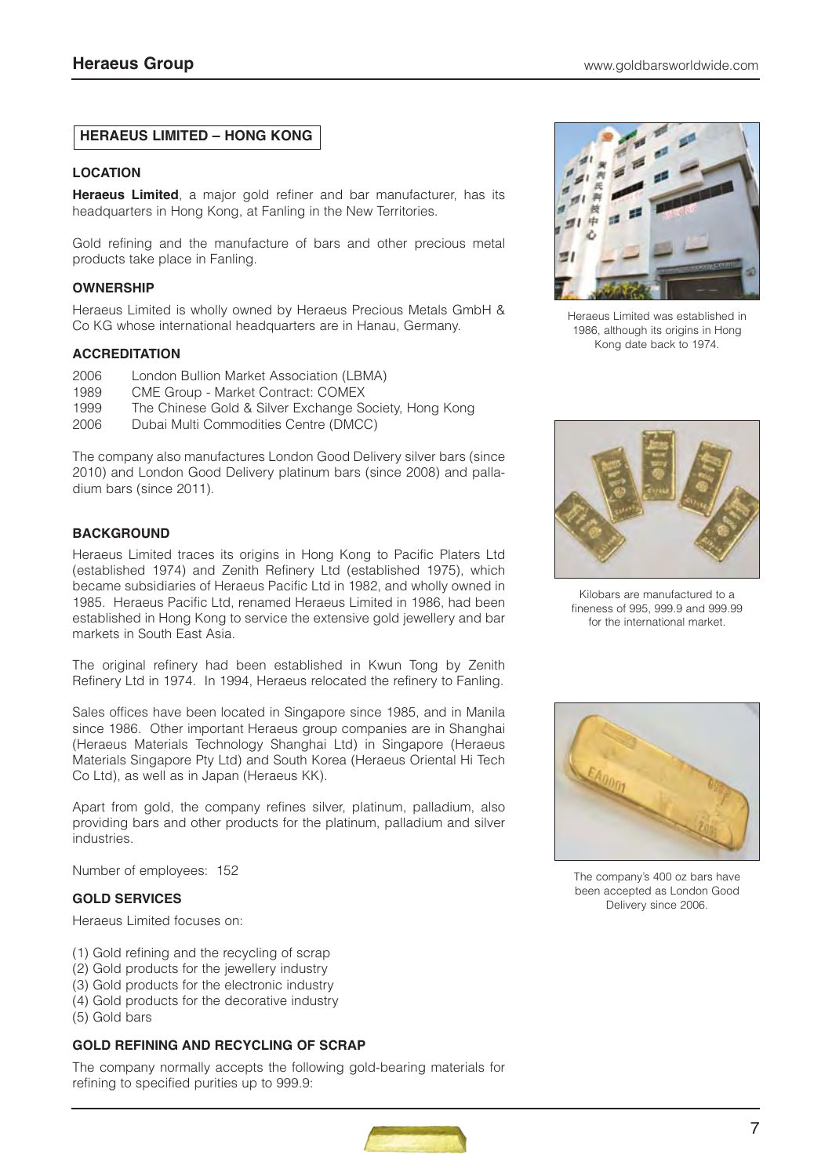## **HERAEUS LIMITED – HONG KONG**

#### **LOCATION**

**Heraeus Limited**, a major gold refiner and bar manufacturer, has its headquarters in Hong Kong, at Fanling in the New Territories.

Gold refining and the manufacture of bars and other precious metal products take place in Fanling.

#### **OWNERSHIP**

Heraeus Limited is wholly owned by Heraeus Precious Metals GmbH & Co KG whose international headquarters are in Hanau, Germany.

#### **ACCREDITATION**

- 2006 London Bullion Market Association (LBMA)
- 1989 CME Group Market Contract: COMEX
- 1999 The Chinese Gold & Silver Exchange Society, Hong Kong
- 2006 Dubai Multi Commodities Centre (DMCC)

The company also manufactures London Good Delivery silver bars (since 2010) and London Good Delivery platinum bars (since 2008) and palladium bars (since 2011).

## **BACKGROUND**

Heraeus Limited traces its origins in Hong Kong to Pacific Platers Ltd (established 1974) and Zenith Refinery Ltd (established 1975), which became subsidiaries of Heraeus Pacific Ltd in 1982, and wholly owned in 1985. Heraeus Pacific Ltd, renamed Heraeus Limited in 1986, had been established in Hong Kong to service the extensive gold jewellery and bar markets in South East Asia.

The original refinery had been established in Kwun Tong by Zenith Refinery Ltd in 1974. In 1994, Heraeus relocated the refinery to Fanling.

Sales offices have been located in Singapore since 1985, and in Manila since 1986. Other important Heraeus group companies are in Shanghai (Heraeus Materials Technology Shanghai Ltd) in Singapore (Heraeus Materials Singapore Pty Ltd) and South Korea (Heraeus Oriental Hi Tech Co Ltd), as well as in Japan (Heraeus KK).

Apart from gold, the company refines silver, platinum, palladium, also providing bars and other products for the platinum, palladium and silver industries.

Number of employees: 152

#### **GOLD SERVICES**

Heraeus Limited focuses on:

- (1) Gold refining and the recycling of scrap
- (2) Gold products for the jewellery industry
- (3) Gold products for the electronic industry
- (4) Gold products for the decorative industry
- (5) Gold bars

## **GOLD REFINING AND RECYCLING OF SCRAP**

The company normally accepts the following gold-bearing materials for refining to specified purities up to 999.9:



Heraeus Limited was established in 1986, although its origins in Hong Kong date back to 1974.



Kilobars are manufactured to a fineness of 995, 999.9 and 999.99 for the international market.



The company's 400 oz bars have been accepted as London Good Delivery since 2006.

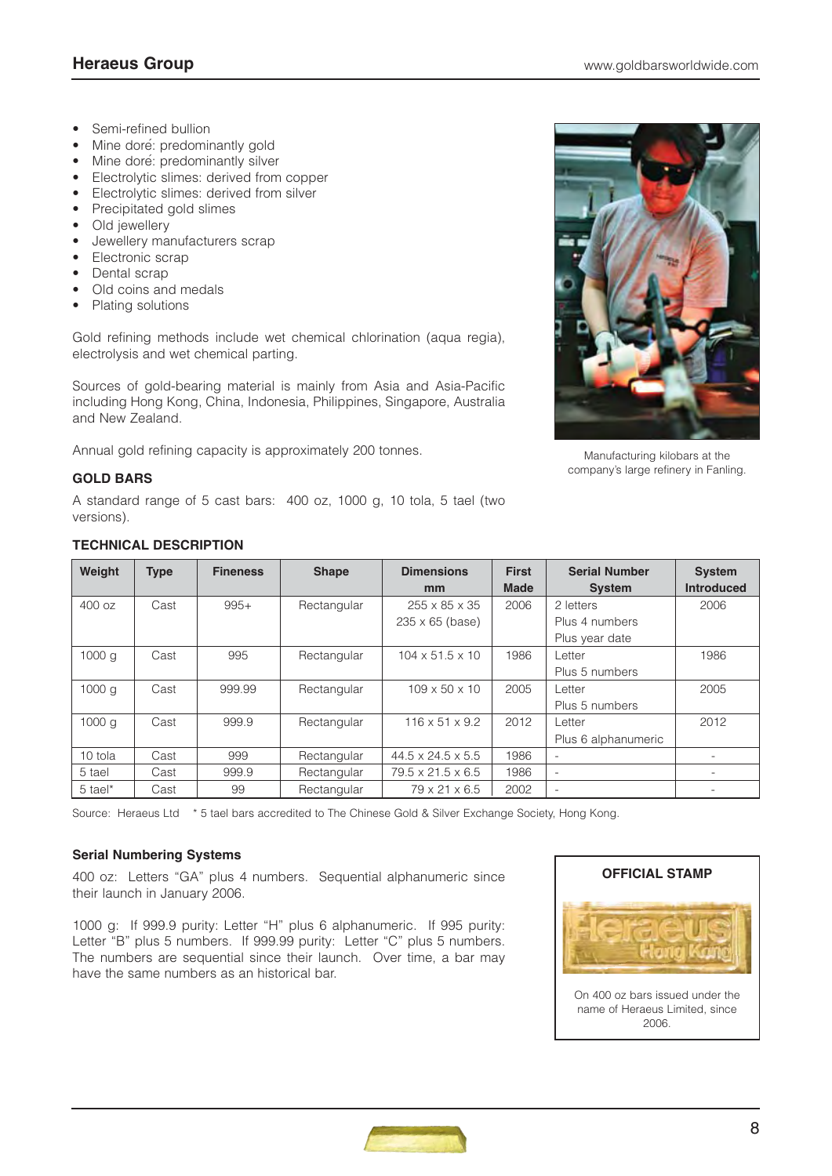- Semi-refined bullion
- Mine doré: predominantly gold
- Mine doré: predominantly silver
- Electrolytic slimes: derived from copper
- Electrolytic slimes: derived from silver
- Precipitated gold slimes
- Old jewellery
- Jewellery manufacturers scrap
- Electronic scrap
- Dental scrap
- Old coins and medals
- Plating solutions

Gold refining methods include wet chemical chlorination (aqua regia), electrolysis and wet chemical parting.

Sources of gold-bearing material is mainly from Asia and Asia-Pacific including Hong Kong, China, Indonesia, Philippines, Singapore, Australia and New Zealand.

Annual gold refining capacity is approximately 200 tonnes.

## **GOLD BARS**

A standard range of 5 cast bars: 400 oz, 1000 g, 10 tola, 5 tael (two versions).



Manufacturing kilobars at the company's large refinery in Fanling.

## **TECHNICAL DESCRIPTION**

| Weight            | <b>Type</b> | <b>Fineness</b> | <b>Shape</b> | <b>Dimensions</b><br><sub>mm</sub> | <b>First</b><br><b>Made</b> | <b>Serial Number</b><br><b>System</b> | <b>System</b><br><b>Introduced</b> |
|-------------------|-------------|-----------------|--------------|------------------------------------|-----------------------------|---------------------------------------|------------------------------------|
| 400 oz            | Cast        | $995+$          | Rectangular  | $255 \times 85 \times 35$          | 2006                        | 2 letters                             | 2006                               |
|                   |             |                 |              | $235 \times 65$ (base)             |                             | Plus 4 numbers                        |                                    |
|                   |             |                 |              |                                    |                             | Plus year date                        |                                    |
| 1000 <sub>q</sub> | Cast        | 995             | Rectangular  | $104 \times 51.5 \times 10$        | 1986                        | Letter                                | 1986                               |
|                   |             |                 |              |                                    |                             | Plus 5 numbers                        |                                    |
| 1000 <sub>q</sub> | Cast        | 999.99          | Rectangular  | $109 \times 50 \times 10$          | 2005                        | Letter                                | 2005                               |
|                   |             |                 |              |                                    |                             | Plus 5 numbers                        |                                    |
| 1000 <sub>q</sub> | Cast        | 999.9           | Rectangular  | $116 \times 51 \times 9.2$         | 2012                        | Letter                                | 2012                               |
|                   |             |                 |              |                                    |                             | Plus 6 alphanumeric                   |                                    |
| 10 tola           | Cast        | 999             | Rectangular  | $44.5 \times 24.5 \times 5.5$      | 1986                        | ۰                                     |                                    |
| 5 tael            | Cast        | 999.9           | Rectangular  | $79.5 \times 21.5 \times 6.5$      | 1986                        | ۰                                     |                                    |
| 5 tael*           | Cast        | 99              | Rectangular  | 79 x 21 x 6.5                      | 2002                        |                                       |                                    |

Source: Heraeus Ltd \* 5 tael bars accredited to The Chinese Gold & Silver Exchange Society, Hong Kong.

## **Serial Numbering Systems**

400 oz: Letters "GA" plus 4 numbers. Sequential alphanumeric since their launch in January 2006.

1000 g: If 999.9 purity: Letter "H" plus 6 alphanumeric. If 995 purity: Letter "B" plus 5 numbers. If 999.99 purity: Letter "C" plus 5 numbers. The numbers are sequential since their launch. Over time, a bar may have the same numbers as an historical bar.



2006.

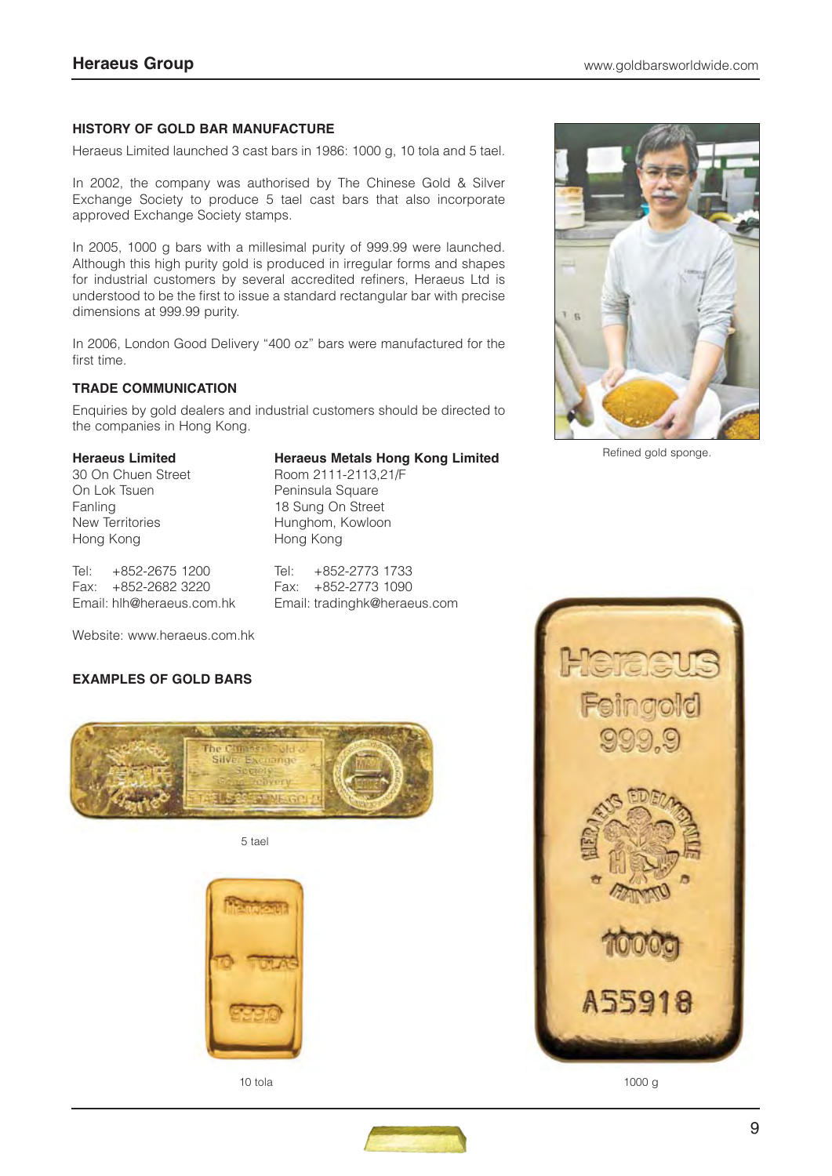## **HISTORY OF GOLD BAR MANUFACTURE**

Heraeus Limited launched 3 cast bars in 1986: 1000 g, 10 tola and 5 tael.

In 2002, the company was authorised by The Chinese Gold & Silver Exchange Society to produce 5 tael cast bars that also incorporate approved Exchange Society stamps.

In 2005, 1000 g bars with a millesimal purity of 999.99 were launched. Although this high purity gold is produced in irregular forms and shapes for industrial customers by several accredited refiners, Heraeus Ltd is understood to be the first to issue a standard rectangular bar with precise dimensions at 999.99 purity.

In 2006, London Good Delivery "400 oz" bars were manufactured for the first time.

## **TRADE COMMUNICATION**

Enquiries by gold dealers and industrial customers should be directed to the companies in Hong Kong.

#### **Heraeus Limited Heraeus Metals Hong Kong Limited**

30 On Chuen Street Room 2111-2113.21/F On Lok Tsuen **Peninsula Square** Fanling 18 Sung On Street New Territories **Hunghom**, Kowloon Hong Kong Hong Kong

Tel: +852-2675 1200 Tel: +852-2773 1733 Fax: +852-2682 3220 Fax: +852-2773 1090 Email: hlh@heraeus.com.hk Email: tradinghk@heraeus.com

Website: www.heraeus.com.hk

## **EXAMPLES OF GOLD BARS**



5 tael





Refined gold sponge.



10 tola 1000 g

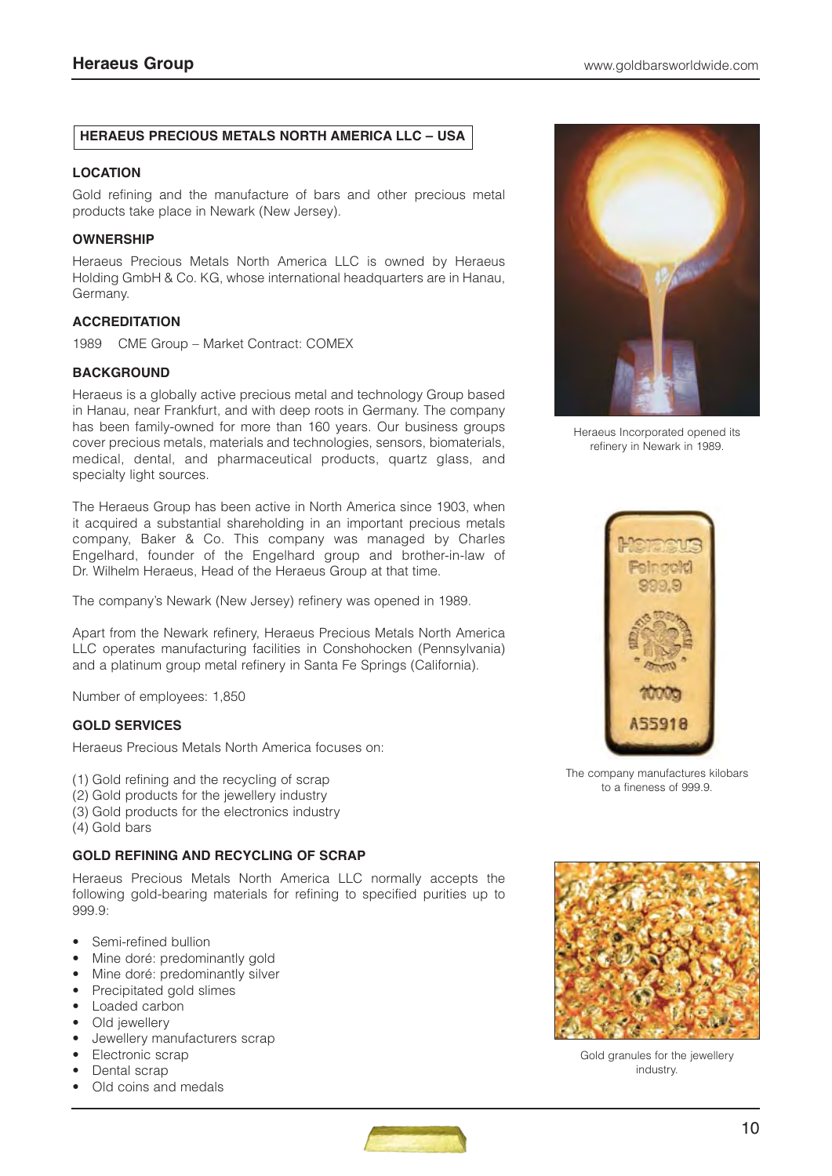## **HERAEUS PRECIOUS METALS NORTH AMERICA LLC – USA**

#### **LOCATION**

Gold refining and the manufacture of bars and other precious metal products take place in Newark (New Jersey).

#### **OWNERSHIP**

Heraeus Precious Metals North America LLC is owned by Heraeus Holding GmbH & Co. KG, whose international headquarters are in Hanau, Germany.

## **ACCREDITATION**

1989 CME Group – Market Contract: COMEX

## **BACKGROUND**

Heraeus is a globally active precious metal and technology Group based in Hanau, near Frankfurt, and with deep roots in Germany. The company has been family-owned for more than 160 years. Our business groups cover precious metals, materials and technologies, sensors, biomaterials, medical, dental, and pharmaceutical products, quartz glass, and specialty light sources.

The Heraeus Group has been active in North America since 1903, when it acquired a substantial shareholding in an important precious metals company, Baker & Co. This company was managed by Charles Engelhard, founder of the Engelhard group and brother-in-law of Dr. Wilhelm Heraeus, Head of the Heraeus Group at that time.

The company's Newark (New Jersey) refinery was opened in 1989.

Apart from the Newark refinery, Heraeus Precious Metals North America LLC operates manufacturing facilities in Conshohocken (Pennsylvania) and a platinum group metal refinery in Santa Fe Springs (California).

Number of employees: 1,850

## **GOLD SERVICES**

Heraeus Precious Metals North America focuses on:

- (1) Gold refining and the recycling of scrap
- (2) Gold products for the jewellery industry
- (3) Gold products for the electronics industry
- (4) Gold bars

#### **GOLD REFINING AND RECYCLING OF SCRAP**

Heraeus Precious Metals North America LLC normally accepts the following gold-bearing materials for refining to specified purities up to 999.9:

- Semi-refined bullion
- Mine doré: predominantly gold
- Mine doré: predominantly silver
- Precipitated gold slimes
- Loaded carbon
- Old jewellery
- Jewellery manufacturers scrap
- Electronic scrap
- Dental scrap
- Old coins and medals



Heraeus Incorporated opened its refinery in Newark in 1989.



The company manufactures kilobars to a fineness of 999.9.



Gold granules for the jewellery industry.

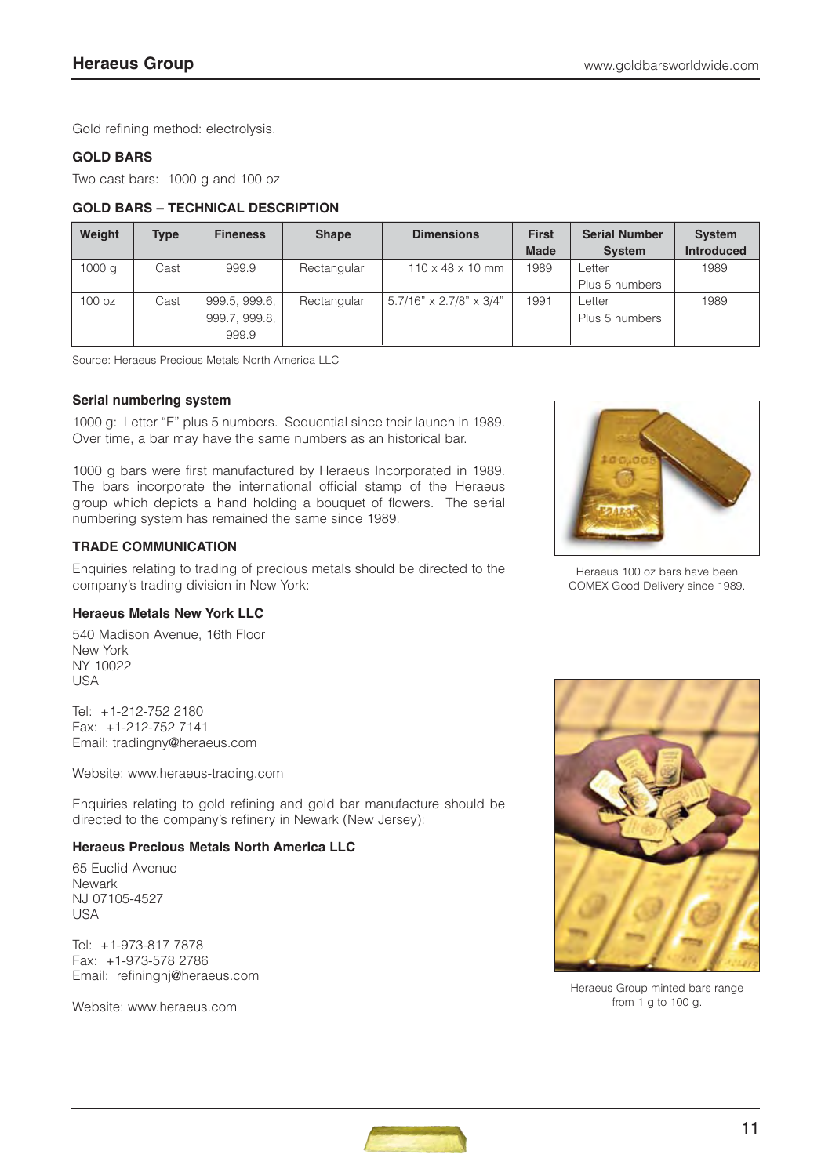Gold refining method: electrolysis.

## **GOLD BARS**

Two cast bars: 1000 g and 100 oz

## **GOLD BARS – TECHNICAL DESCRIPTION**

| Weight            | <b>Type</b> | <b>Fineness</b> | <b>Shape</b> | <b>Dimensions</b>                   | <b>First</b> | <b>Serial Number</b> | <b>System</b>     |
|-------------------|-------------|-----------------|--------------|-------------------------------------|--------------|----------------------|-------------------|
|                   |             |                 |              |                                     | <b>Made</b>  | <b>System</b>        | <b>Introduced</b> |
| 1000 <sub>q</sub> | Cast        | 999.9           | Rectangular  | $110 \times 48 \times 10$ mm        | 1989         | Letter               | 1989              |
|                   |             |                 |              |                                     |              | Plus 5 numbers       |                   |
| 100 oz            | Cast        | 999.5, 999.6,   | Rectangular  | $5.7/16" \times 2.7/8" \times 3/4"$ | 1991         | Letter               | 1989              |
|                   |             | 999.7, 999.8,   |              |                                     |              | Plus 5 numbers       |                   |
|                   |             | 999.9           |              |                                     |              |                      |                   |

Source: Heraeus Precious Metals North America LLC

## **Serial numbering system**

1000 g: Letter "E" plus 5 numbers. Sequential since their launch in 1989. Over time, a bar may have the same numbers as an historical bar.

1000 g bars were first manufactured by Heraeus Incorporated in 1989. The bars incorporate the international official stamp of the Heraeus group which depicts a hand holding a bouquet of flowers. The serial numbering system has remained the same since 1989.

## **TRADE COMMUNICATION**

Enquiries relating to trading of precious metals should be directed to the company's trading division in New York:

## **Heraeus Metals New York LLC**

540 Madison Avenue, 16th Floor New York NY 10022 USA

Tel: +1-212-752 2180 Fax: +1-212-752 7141 Email: tradingny@heraeus.com

Website: www.heraeus-trading.com

Enquiries relating to gold refining and gold bar manufacture should be directed to the company's refinery in Newark (New Jersey):

## **Heraeus Precious Metals North America LLC**

65 Euclid Avenue Newark NJ 07105-4527 **USA** 

Tel: +1-973-817 7878 Fax: +1-973-578 2786 Email: refiningnj@heraeus.com

Website: www.heraeus.com



Heraeus 100 oz bars have been COMEX Good Delivery since 1989.



Heraeus Group minted bars range from 1 g to 100 g.